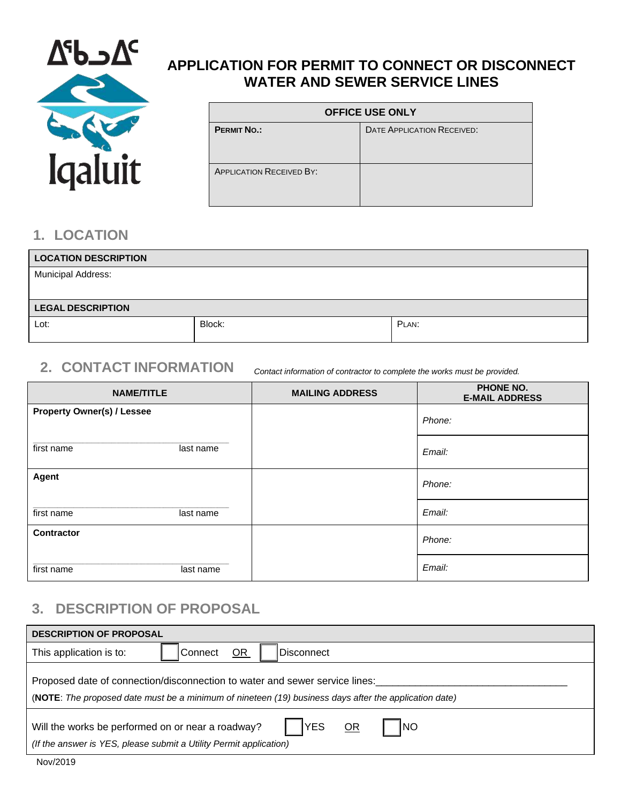

## **APPLICATION FOR PERMIT TO CONNECT OR DISCONNECT WATER AND SEWER SERVICE LINES**

| <b>OFFICE USE ONLY</b>          |                                   |
|---------------------------------|-----------------------------------|
| <b>PERMIT NO.:</b>              | <b>DATE APPLICATION RECEIVED:</b> |
|                                 |                                   |
| <b>APPLICATION RECEIVED BY:</b> |                                   |
|                                 |                                   |

## **1. LOCATION**

| <b>LOCATION DESCRIPTION</b> |        |       |
|-----------------------------|--------|-------|
| Municipal Address:          |        |       |
|                             |        |       |
| <b>LEGAL DESCRIPTION</b>    |        |       |
| Lot:                        | Block: | PLAN: |
|                             |        |       |

## **2. CONTACT INFORMATION** *Contact information of contractor to complete the works must be provided.*

| <b>NAME/TITLE</b>                 | <b>MAILING ADDRESS</b> | <b>PHONE NO.</b><br><b>E-MAIL ADDRESS</b> |
|-----------------------------------|------------------------|-------------------------------------------|
| <b>Property Owner(s) / Lessee</b> |                        | Phone:                                    |
| first name<br>last name           |                        | Email:                                    |
| Agent                             |                        | Phone:                                    |
| first name<br>last name           |                        | Email:                                    |
| <b>Contractor</b>                 |                        | Phone:                                    |
| first name<br>last name           |                        | Email:                                    |

### **3. DESCRIPTION OF PROPOSAL**

| <b>DESCRIPTION OF PROPOSAL</b>                                                                                                                                                       |  |
|--------------------------------------------------------------------------------------------------------------------------------------------------------------------------------------|--|
| This application is to:<br><b>OR</b><br> Connect<br><b>Disconnect</b>                                                                                                                |  |
| Proposed date of connection/disconnection to water and sewer service lines:<br>(NOTE: The proposed date must be a minimum of nineteen (19) business days after the application date) |  |
| <b>YES</b><br><b>INO</b><br>OR<br>Will the works be performed on or near a roadway?<br>(If the answer is YES, please submit a Utility Permit application)                            |  |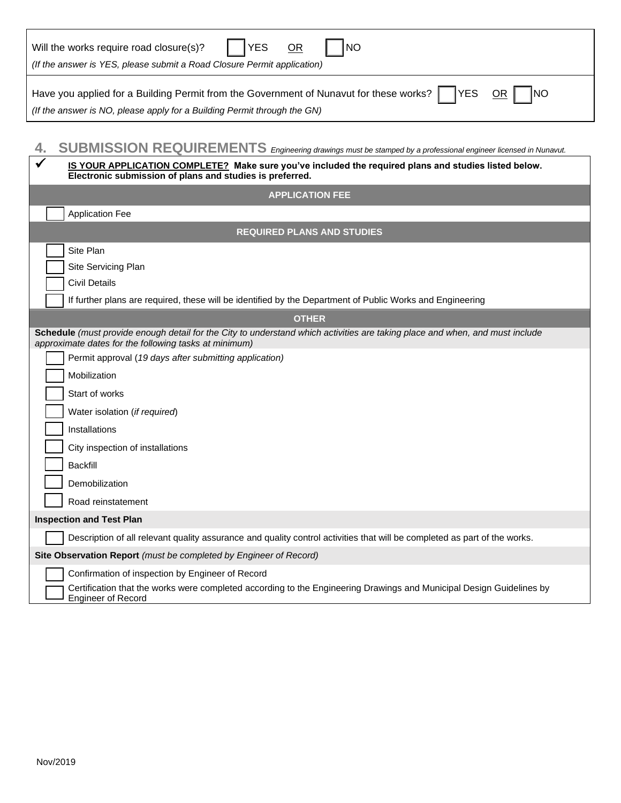| <b>YES</b><br><b>NO</b><br>Will the works require road closure(s)?<br>0R                                                                                                                                             |  |
|----------------------------------------------------------------------------------------------------------------------------------------------------------------------------------------------------------------------|--|
| (If the answer is YES, please submit a Road Closure Permit application)                                                                                                                                              |  |
| Have you applied for a Building Permit from the Government of Nunavut for these works?<br><b>YES</b><br><b>NO</b><br><b>OR</b><br>(If the answer is NO, please apply for a Building Permit through the GN)           |  |
| SUBMISSION REQUIREMENTS Engineering drawings must be stamped by a professional engineer licensed in Nunavut.<br>IS YOUR APPLICATION COMPLETE? Make sure you've included the required plans and studies listed below. |  |
| Electronic submission of plans and studies is preferred.                                                                                                                                                             |  |
| <b>APPLICATION FEE</b>                                                                                                                                                                                               |  |
| <b>Application Fee</b>                                                                                                                                                                                               |  |
| <b>REQUIRED PLANS AND STUDIES</b>                                                                                                                                                                                    |  |
| Site Plan<br>Site Servicing Plan<br><b>Civil Details</b>                                                                                                                                                             |  |
| If further plans are required, these will be identified by the Department of Public Works and Engineering                                                                                                            |  |
| <b>OTHER</b>                                                                                                                                                                                                         |  |
| Schedule (must provide enough detail for the City to understand which activities are taking place and when, and must include<br>approximate dates for the following tasks at minimum)                                |  |
| Permit approval (19 days after submitting application)                                                                                                                                                               |  |
| Mobilization                                                                                                                                                                                                         |  |
| Start of works                                                                                                                                                                                                       |  |
| Water isolation (if required)                                                                                                                                                                                        |  |
| Installations                                                                                                                                                                                                        |  |
| City inspection of installations                                                                                                                                                                                     |  |
| <b>Backfill</b>                                                                                                                                                                                                      |  |
| Demobilization                                                                                                                                                                                                       |  |
| Road reinstatement                                                                                                                                                                                                   |  |
| <b>Inspection and Test Plan</b>                                                                                                                                                                                      |  |
| Description of all relevant quality assurance and quality control activities that will be completed as part of the works.                                                                                            |  |
| Site Observation Report (must be completed by Engineer of Record)                                                                                                                                                    |  |
| Confirmation of inspection by Engineer of Record<br>Certification that the works were completed according to the Engineering Drawings and Municipal Design Guidelines by<br><b>Engineer of Record</b>                |  |